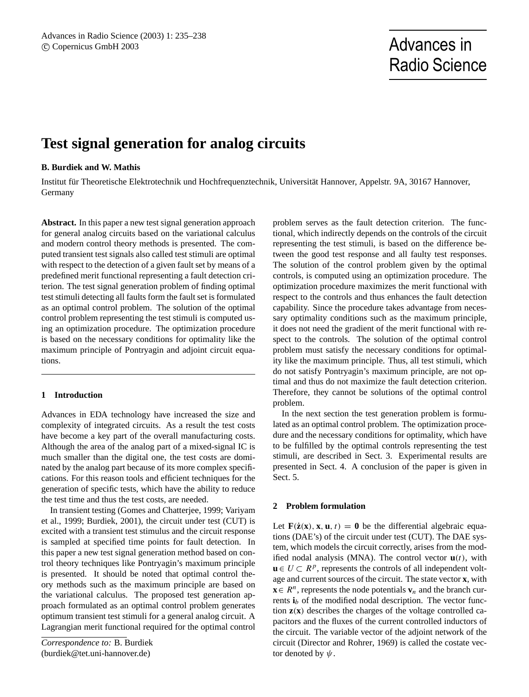# Radio Science

# **Test signal generation for analog circuits**

## **B. Burdiek and W. Mathis**

Institut für Theoretische Elektrotechnik und Hochfrequenztechnik, Universität Hannover, Appelstr. 9A, 30167 Hannover, Germany

**Abstract.** In this paper a new test signal generation approach for general analog circuits based on the variational calculus and modern control theory methods is presented. The computed transient test signals also called test stimuli are optimal with respect to the detection of a given fault set by means of a predefined merit functional representing a fault detection criterion. The test signal generation problem of finding optimal test stimuli detecting all faults form the fault set is formulated as an optimal control problem. The solution of the optimal control problem representing the test stimuli is computed using an optimization procedure. The optimization procedure is based on the necessary conditions for optimality like the maximum principle of Pontryagin and adjoint circuit equations.

# **1 Introduction**

Advances in EDA technology have increased the size and complexity of integrated circuits. As a result the test costs have become a key part of the overall manufacturing costs. Although the area of the analog part of a mixed-signal IC is much smaller than the digital one, the test costs are dominated by the analog part because of its more complex specifications. For this reason tools and efficient techniques for the generation of specific tests, which have the ability to reduce the test time and thus the test costs, are needed.

In transient testing (Gomes and Chatterjee, 1999; Variyam et al., 1999; Burdiek, 2001), the circuit under test (CUT) is excited with a transient test stimulus and the circuit response is sampled at specified time points for fault detection. In this paper a new test signal generation method based on control theory techniques like Pontryagin's maximum principle is presented. It should be noted that optimal control theory methods such as the maximum principle are based on the variational calculus. The proposed test generation approach formulated as an optimal control problem generates optimum transient test stimuli for a general analog circuit. A Lagrangian merit functional required for the optimal control

*Correspondence to:* B. Burdiek (burdiek@tet.uni-hannover.de)

problem serves as the fault detection criterion. The functional, which indirectly depends on the controls of the circuit representing the test stimuli, is based on the difference between the good test response and all faulty test responses. The solution of the control problem given by the optimal controls, is computed using an optimization procedure. The optimization procedure maximizes the merit functional with respect to the controls and thus enhances the fault detection capability. Since the procedure takes advantage from necessary optimality conditions such as the maximum principle, it does not need the gradient of the merit functional with respect to the controls. The solution of the optimal control problem must satisfy the necessary conditions for optimality like the maximum principle. Thus, all test stimuli, which do not satisfy Pontryagin's maximum principle, are not optimal and thus do not maximize the fault detection criterion. Therefore, they cannot be solutions of the optimal control problem.

In the next section the test generation problem is formulated as an optimal control problem. The optimization procedure and the necessary conditions for optimality, which have to be fulfilled by the optimal controls representing the test stimuli, are described in Sect. 3. Experimental results are presented in Sect. 4. A conclusion of the paper is given in Sect. 5.

#### **2 Problem formulation**

Let  $\mathbf{F}(\dot{\mathbf{z}}(\mathbf{x}), \mathbf{x}, \mathbf{u}, t) = \mathbf{0}$  be the differential algebraic equations (DAE's) of the circuit under test (CUT). The DAE system, which models the circuit correctly, arises from the modified nodal analysis (MNA). The control vector  $\mathbf{u}(t)$ , with  $\mathbf{u} \in U \subset \mathbb{R}^p$ , represents the controls of all independent voltage and current sources of the circuit. The state vector **x**, with **x** ∈  $R^n$ , represents the node potentials **v**<sub>n</sub> and the branch currents  $\mathbf{i}_b$  of the modified nodal description. The vector function **z**(**x**) describes the charges of the voltage controlled capacitors and the fluxes of the current controlled inductors of the circuit. The variable vector of the adjoint network of the circuit (Director and Rohrer, 1969) is called the costate vector denoted by  $\psi$ .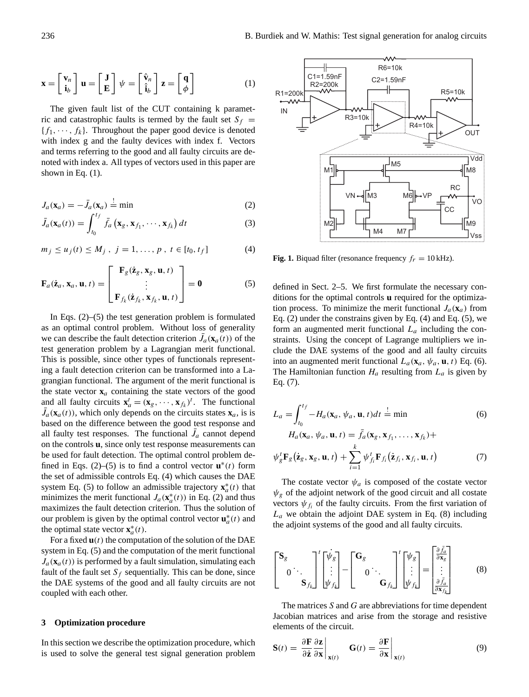$$
\mathbf{x} = \begin{bmatrix} \mathbf{v}_n \\ \mathbf{i}_b \end{bmatrix} \mathbf{u} = \begin{bmatrix} \mathbf{J} \\ \mathbf{E} \end{bmatrix} \psi = \begin{bmatrix} \hat{\mathbf{v}}_n \\ \hat{\mathbf{i}}_b \end{bmatrix} \mathbf{z} = \begin{bmatrix} \mathbf{q} \\ \phi \end{bmatrix}
$$
 (1)

The given fault list of the CUT containing k parametric and catastrophic faults is termed by the fault set  $S_f$  =  ${f_1, \dots, f_k}$ . Throughout the paper good device is denoted with index g and the faulty devices with index f. Vectors and terms referring to the good and all faulty circuits are denoted with index a. All types of vectors used in this paper are shown in Eq.  $(1)$ .

$$
J_a(\mathbf{x}_a) = -\bar{J}_a(\mathbf{x}_a) \stackrel{!}{=} \text{min}
$$
 (2)

$$
\bar{J}_a(\mathbf{x}_a(t)) = \int_{t_0}^{t_f} \bar{f}_a\left(\mathbf{x}_g, \mathbf{x}_{f_1}, \cdots, \mathbf{x}_{f_k}\right) dt \tag{3}
$$

$$
m_j \le u_j(t) \le M_j
$$
,  $j = 1, ..., p$ ,  $t \in [t_0, t_f]$  (4)

$$
\mathbf{F}_a(\dot{\mathbf{z}}_a, \mathbf{x}_a, \mathbf{u}, t) = \begin{bmatrix} \mathbf{F}_g(\dot{\mathbf{z}}_g, \mathbf{x}_g, \mathbf{u}, t) \\ \vdots \\ \mathbf{F}_{f_k}(\dot{\mathbf{z}}_{f_k}, \mathbf{x}_{f_k}, \mathbf{u}, t) \end{bmatrix} = \mathbf{0}
$$
(5)

In Eqs.  $(2)$ –(5) the test generation problem is formulated as an optimal control problem. Without loss of generality we can describe the fault detection criterion  $\bar{J}_a(\mathbf{x}_a(t))$  of the test generation problem by a Lagrangian merit functional. This is possible, since other types of functionals representing a fault detection criterion can be transformed into a Lagrangian functional. The argument of the merit functional is the state vector  $\mathbf{x}_a$  containing the state vectors of the good and all faulty circuits  $\mathbf{x}_a^t = (\mathbf{x}_g, \dots, \mathbf{x}_{f_k})^t$ . The functional  $\bar{J}_a(\mathbf{x}_a(t))$ , which only depends on the circuits states  $\mathbf{x}_a$ , is is based on the difference between the good test response and all faulty test responses. The functional  $\bar{J}_a$  cannot depend on the controls **u**, since only test response measurements can be used for fault detection. The optimal control problem defined in Eqs. (2)–(5) is to find a control vector  $\mathbf{u}^*(t)$  form the set of admissible controls Eq. (4) which causes the DAE system Eq. (5) to follow an admissible trajectory  $\mathbf{x}_a^*(t)$  that minimizes the merit functional  $J_a(\mathbf{x}_a^*(t))$  in Eq. (2) and thus maximizes the fault detection criterion. Thus the solution of our problem is given by the optimal control vector  $\mathbf{u}_a^*(t)$  and the optimal state vector  $\mathbf{x}_a^*(t)$ .

For a fixed  $\mathbf{u}(t)$  the computation of the solution of the DAE system in Eq. (5) and the computation of the merit functional  $J_a(\mathbf{x}_a(t))$  is performed by a fault simulation, simulating each fault of the fault set  $S_f$  sequentially. This can be done, since the DAE systems of the good and all faulty circuits are not coupled with each other.

### **3 Optimization procedure**

In this section we describe the optimization procedure, which is used to solve the general test signal generation problem



**Fig. 1.** Biquad filter (resonance frequency  $f_r = 10$  kHz).

defined in Sect. 2–5. We first formulate the necessary conditions for the optimal controls **u** required for the optimization process. To minimize the merit functional  $J_a(\mathbf{x}_a)$  from Eq. (2) under the constrains given by Eq. (4) and Eq. (5), we form an augmented merit functional  $L_a$  including the constraints. Using the concept of Lagrange multipliers we include the DAE systems of the good and all faulty circuits into an augmented merit functional  $L_a(\mathbf{x}_a, \psi_a, \mathbf{u}, t)$  Eq. (6). The Hamiltonian function  $H_a$  resulting from  $L_a$  is given by Eq. (7).

$$
L_a = \int_{t_0}^{t_f} -H_a(\mathbf{x}_a, \psi_a, \mathbf{u}, t)dt = \min
$$
\n
$$
H_a(\mathbf{x}_a, \psi_a, \mathbf{u}, t) = \bar{f}_a(\mathbf{x}_g, \mathbf{x}_{f_1}, \dots, \mathbf{x}_{f_k}) +
$$
\n
$$
\psi_g^t \mathbf{F}_g(\dot{\mathbf{z}}_g, \mathbf{x}_g, \mathbf{u}, t) + \sum_{i=1}^k \psi_{f_i}^t \mathbf{F}_{f_i}(\dot{\mathbf{z}}_{f_i}, \mathbf{x}_{f_i}, \mathbf{u}, t)
$$
\n(7)

The costate vector  $\psi_a$  is composed of the costate vector  $\psi_{g}$  of the adjoint network of the good circuit and all costate vectors  $\psi_{f_i}$  of the faulty circuits. From the first variation of  $L_a$  we obtain the adjoint DAE system in Eq. (8) including the adjoint systems of the good and all faulty circuits.

$$
\begin{bmatrix} \mathbf{S}_{g} \\ \mathbf{S}_{f_k} \end{bmatrix}^{t} \begin{bmatrix} \dot{\psi}_g \\ \vdots \\ \dot{\psi}_{f_k} \end{bmatrix} - \begin{bmatrix} \mathbf{G}_{g} \\ \mathbf{O} \end{bmatrix} \cdot \mathbf{G}_{f_k} \begin{bmatrix} \psi_g \\ \vdots \\ \psi_{f_k} \end{bmatrix} = \begin{bmatrix} \frac{\partial \bar{f}_a}{\partial \mathbf{x}_g} \\ \vdots \\ \frac{\partial \bar{f}_a}{\partial \mathbf{x}_{f_k}} \end{bmatrix}
$$
(8)

The matrices  $S$  and  $G$  are abbreviations for time dependent Jacobian matrices and arise from the storage and resistive elements of the circuit.

$$
\mathbf{S}(t) = \left. \frac{\partial \mathbf{F}}{\partial \dot{\mathbf{z}}} \frac{\partial \mathbf{z}}{\partial \mathbf{x}} \right|_{\mathbf{x}(t)} \quad \mathbf{G}(t) = \left. \frac{\partial \mathbf{F}}{\partial \mathbf{x}} \right|_{\mathbf{x}(t)} \tag{9}
$$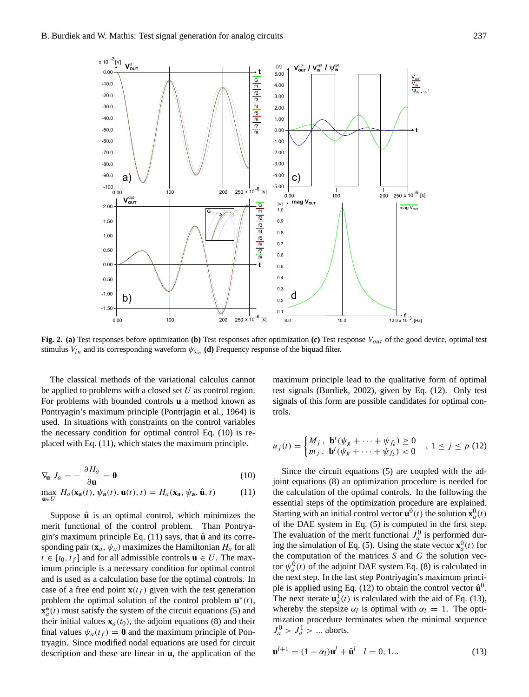

**Fig. 2. (a)** Test responses before optimization **(b)** Test responses after optimization **(c)** Test response  $V_{out}$  of the good device, optimal test stimulus  $V_{in}$  and its corresponding waveform  $\psi_{S_{in}}$  (d) Frequency response of the biquad filter.

The classical methods of the variational calculus cannot be applied to problems with a closed set  $U$  as control region. For problems with bounded controls **u** a method known as Pontryagin's maximum principle (Pontrjagin et al., 1964) is used. In situations with constraints on the control variables the necessary condition for optimal control Eq. (10) is replaced with Eq. (11), which states the maximum principle.

$$
\nabla_{\mathbf{u}} J_a = -\frac{\partial H_a}{\partial \mathbf{u}} = \mathbf{0}
$$
 (10)

$$
\max_{\mathbf{u}\in U} H_a(\mathbf{x}_\mathbf{a}(t), \psi_\mathbf{a}(t), \mathbf{u}(t), t) = H_a(\mathbf{x}_\mathbf{a}, \psi_\mathbf{a}, \hat{\mathbf{u}}, t)
$$
(11)

Suppose  $\hat{u}$  is an optimal control, which minimizes the merit functional of the control problem. Than Pontryagin's maximum principle Eq. (11) says, that  $\hat{u}$  and its corresponding pair  $(\mathbf{x}_a, \psi_a)$  maximizes the Hamiltonian  $H_a$  for all  $t \in [t_0, t_f]$  and for all admissible controls  $\mathbf{u} \in U$ . The maximum principle is a necessary condition for optimal control and is used as a calculation base for the optimal controls. In case of a free end point  $\mathbf{x}(t_f)$  given with the test generation problem the optimal solution of the control problem  $\mathbf{u}^*(t)$ ,  $\mathbf{x}_a^*(t)$  must satisfy the system of the circuit equations (5) and their initial values  $\mathbf{x}_a(t_0)$ , the adjoint equations (8) and their final values  $\psi_a(t_f) = \mathbf{0}$  and the maximum principle of Pontryagin. Since modified nodal equations are used for circuit description and these are linear in **u**, the application of the

maximum principle lead to the qualitative form of optimal test signals (Burdiek, 2002), given by Eq. (12). Only test signals of this form are possible candidates for optimal controls.

$$
u_j(t) = \begin{cases} M_j, & \mathbf{b}^t(\psi_g + \dots + \psi_{f_k}) \ge 0 \\ m_j, & \mathbf{b}^t(\psi_g + \dots + \psi_{f_k}) < 0 \end{cases}, \quad 1 \le j \le p \tag{12}
$$

Since the circuit equations (5) are coupled with the adjoint equations (8) an optimization procedure is needed for the calculation of the optimal controls. In the following the essential steps of the optimization procedure are explained. Starting with an initial control vector  $\mathbf{u}^0(t)$  the solution  $\mathbf{x}_a^0(t)$ of the DAE system in Eq. (5) is computed in the first step. The evaluation of the merit functional  $J_a^0$  is performed during the simulation of Eq. (5). Using the state vector  $\mathbf{x}_a^0(t)$  for the computation of the matrices  $S$  and  $G$  the solution vector  $\psi_a^0(t)$  of the adjoint DAE system Eq. (8) is calculated in the next step. In the last step Pontriyagin's maximum principle is applied using Eq. (12) to obtain the control vector  $\hat{\mathbf{u}}^0$ . The next iterate  $\mathbf{u}_a^1(t)$  is calculated with the aid of Eq. (13), whereby the stepsize  $\alpha_l$  is optimal with  $\alpha_l = 1$ . The optimization procedure terminates when the minimal sequence  $J_a^0 > J_a^1 > \dots$  aborts.

$$
\mathbf{u}^{l+1} = (1 - \alpha_l)\mathbf{u}^l + \hat{\mathbf{u}}^l \quad l = 0, 1... \tag{13}
$$